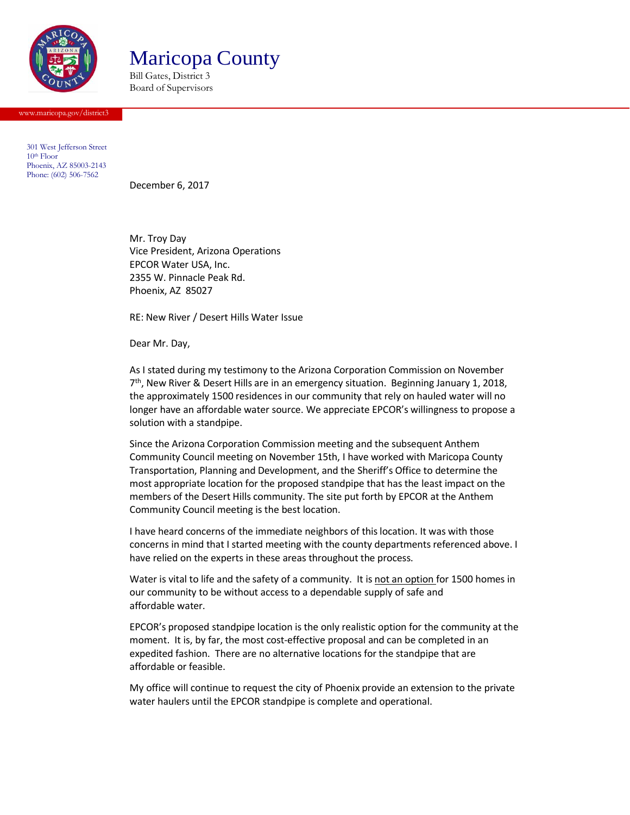

Maricopa County

Bill Gates, District 3 Board of Supervisors

[www.maricopa.gov/district3](http://www.maricopa.gov/district3)

301 West Jefferson Street  $10<sup>th</sup>$  Floor Phoenix, AZ 85003-2143 Phone: (602) 506-7562

December 6, 2017

Mr. Troy Day Vice President, Arizona Operations EPCOR Water USA, Inc. 2355 W. Pinnacle Peak Rd. Phoenix, AZ 85027

RE: New River / Desert Hills Water Issue

Dear Mr. Day,

As I stated during my testimony to the Arizona Corporation Commission on November 7<sup>th</sup>, New River & Desert Hills are in an emergency situation. Beginning January 1, 2018, the approximately 1500 residences in our community that rely on hauled water will no longer have an affordable water source. We appreciate EPCOR's willingness to propose a solution with a standpipe.

Since the Arizona Corporation Commission meeting and the subsequent Anthem Community Council meeting on November 15th, I have worked with Maricopa County Transportation, Planning and Development, and the Sheriff's Office to determine the most appropriate location for the proposed standpipe that has the least impact on the members of the Desert Hills community. The site put forth by EPCOR at the Anthem Community Council meeting is the best location.

I have heard concerns of the immediate neighbors of this location. It was with those concerns in mind that I started meeting with the county departments referenced above. I have relied on the experts in these areas throughout the process.

Water is vital to life and the safety of a community. It is not an option for 1500 homes in our community to be without access to a dependable supply of safe and affordable water.

EPCOR's proposed standpipe location is the only realistic option for the community at the moment. It is, by far, the most cost-effective proposal and can be completed in an expedited fashion. There are no alternative locations for the standpipe that are affordable or feasible.

My office will continue to request the city of Phoenix provide an extension to the private water haulers until the EPCOR standpipe is complete and operational.